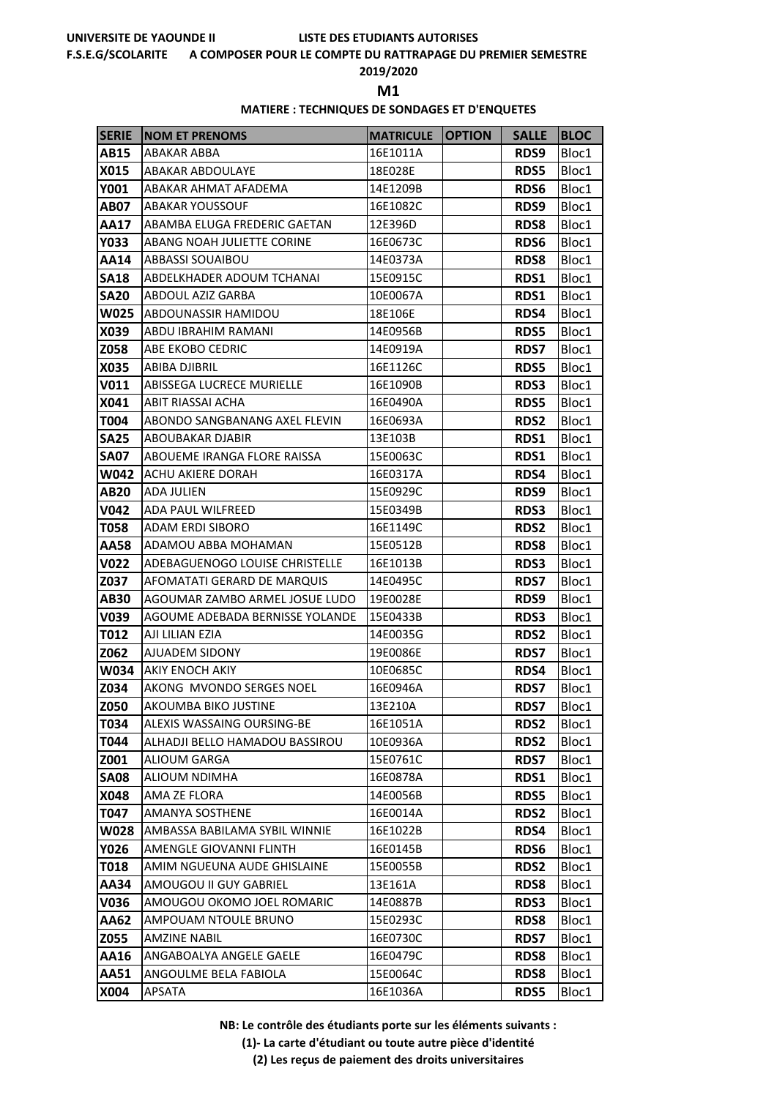#### **F.S.E.G/SCOLARITE A COMPOSER POUR LE COMPTE DU RATTRAPAGE DU PREMIER SEMESTRE**

### **2019/2020**

**M1** 

# **MATIERE : TECHNIQUES DE SONDAGES ET D'ENQUETES**

| <b>SERIE</b> | <b>NOM ET PRENOMS</b>           | <b>MATRICULE</b> | <b>OPTION</b> | <b>SALLE</b> | <b>BLOC</b> |
|--------------|---------------------------------|------------------|---------------|--------------|-------------|
| <b>AB15</b>  | ABAKAR ABBA                     | 16E1011A         |               | RDS9         | Bloc1       |
| X015         | <b>ABAKAR ABDOULAYE</b>         | 18E028E          |               | <b>RDS5</b>  | Bloc1       |
| Y001         | ABAKAR AHMAT AFADEMA            | 14E1209B         |               | <b>RDS6</b>  | Bloc1       |
| AB07         | ABAKAR YOUSSOUF                 | 16E1082C         |               | RDS9         | Bloc1       |
| AA17         | ABAMBA ELUGA FREDERIC GAETAN    | 12E396D          |               | <b>RDS8</b>  | Bloc1       |
| Y033         | ABANG NOAH JULIETTE CORINE      | 16E0673C         |               | <b>RDS6</b>  | Bloc1       |
| AA14         | ABBASSI SOUAIBOU                | 14E0373A         |               | <b>RDS8</b>  | Bloc1       |
| <b>SA18</b>  | ABDELKHADER ADOUM TCHANAI       | 15E0915C         |               | RDS1         | Bloc1       |
| <b>SA20</b>  | <b>ABDOUL AZIZ GARBA</b>        | 10E0067A         |               | RDS1         | Bloc1       |
| W025         | ABDOUNASSIR HAMIDOU             | 18E106E          |               | RDS4         | Bloc1       |
| X039         | ABDU IBRAHIM RAMANI             | 14E0956B         |               | <b>RDS5</b>  | Bloc1       |
| Z058         | ABE EKOBO CEDRIC                | 14E0919A         |               | <b>RDS7</b>  | Bloc1       |
| X035         | <b>ABIBA DJIBRIL</b>            | 16E1126C         |               | <b>RDS5</b>  | Bloc1       |
| V011         | ABISSEGA LUCRECE MURIELLE       | 16E1090B         |               | <b>RDS3</b>  | Bloc1       |
| X041         | ABIT RIASSAI ACHA               | 16E0490A         |               | <b>RDS5</b>  | Bloc1       |
| T004         | ABONDO SANGBANANG AXEL FLEVIN   | 16E0693A         |               | <b>RDS2</b>  | Bloc1       |
| <b>SA25</b>  | ABOUBAKAR DJABIR                | 13E103B          |               | RDS1         | Bloc1       |
| <b>SA07</b>  | ABOUEME IRANGA FLORE RAISSA     | 15E0063C         |               | RDS1         | Bloc1       |
| W042         | ACHU AKIERE DORAH               | 16E0317A         |               | RDS4         | Bloc1       |
| AB20         | ADA JULIEN                      | 15E0929C         |               | RDS9         | Bloc1       |
| V042         | ADA PAUL WILFREED               | 15E0349B         |               | <b>RDS3</b>  | Bloc1       |
| T058         | ADAM ERDI SIBORO                | 16E1149C         |               | <b>RDS2</b>  | Bloc1       |
| AA58         | ADAMOU ABBA MOHAMAN             | 15E0512B         |               | <b>RDS8</b>  | Bloc1       |
| V022         | ADEBAGUENOGO LOUISE CHRISTELLE  | 16E1013B         |               | <b>RDS3</b>  | Bloc1       |
| Z037         | AFOMATATI GERARD DE MARQUIS     | 14E0495C         |               | <b>RDS7</b>  | Bloc1       |
| AB30         | AGOUMAR ZAMBO ARMEL JOSUE LUDO  | 19E0028E         |               | RDS9         | Bloc1       |
| V039         | AGOUME ADEBADA BERNISSE YOLANDE | 15E0433B         |               | RDS3         | Bloc1       |
| T012         | AJI LILIAN EZIA                 | 14E0035G         |               | <b>RDS2</b>  | Bloc1       |
| Z062         | AJUADEM SIDONY                  | 19E0086E         |               | <b>RDS7</b>  | Bloc1       |
| W034         | AKIY ENOCH AKIY                 | 10E0685C         |               | RDS4         | Bloc1       |
| Z034         | AKONG MVONDO SERGES NOEL        | 16E0946A         |               | <b>RDS7</b>  | Bloc1       |
| Z050         | AKOUMBA BIKO JUSTINE            | 13E210A          |               | <b>RDS7</b>  | Bloc1       |
| T034         | ALEXIS WASSAING OURSING-BE      | 16E1051A         |               | <b>RDS2</b>  | Bloc1       |
| T044         | ALHADJI BELLO HAMADOU BASSIROU  | 10E0936A         |               | <b>RDS2</b>  | Bloc1       |
| Z001         | ALIOUM GARGA                    | 15E0761C         |               | <b>RDS7</b>  | Bloc1       |
| <b>SA08</b>  | ALIOUM NDIMHA                   | 16E0878A         |               | RDS1         | Bloc1       |
| X048         | AMA ZE FLORA                    | 14E0056B         |               | <b>RDS5</b>  | Bloc1       |
| T047         | AMANYA SOSTHENE                 | 16E0014A         |               | <b>RDS2</b>  | Bloc1       |
| W028         | AMBASSA BABILAMA SYBIL WINNIE   | 16E1022B         |               | RDS4         | Bloc1       |
| Y026         | AMENGLE GIOVANNI FLINTH         | 16E0145B         |               | <b>RDS6</b>  | Bloc1       |
| T018         | AMIM NGUEUNA AUDE GHISLAINE     | 15E0055B         |               | <b>RDS2</b>  | Bloc1       |
| AA34         | AMOUGOU II GUY GABRIEL          | 13E161A          |               | <b>RDS8</b>  | Bloc1       |
| V036         | AMOUGOU OKOMO JOEL ROMARIC      | 14E0887B         |               | <b>RDS3</b>  | Bloc1       |
| AA62         | AMPOUAM NTOULE BRUNO            | 15E0293C         |               | <b>RDS8</b>  | Bloc1       |
| Z055         | AMZINE NABIL                    | 16E0730C         |               | <b>RDS7</b>  | Bloc1       |
| AA16         | ANGABOALYA ANGELE GAELE         | 16E0479C         |               | <b>RDS8</b>  | Bloc1       |
| <b>AA51</b>  | ANGOULME BELA FABIOLA           | 15E0064C         |               | <b>RDS8</b>  | Bloc1       |
| X004         | APSATA                          | 16E1036A         |               | <b>RDS5</b>  | Bloc1       |

**NB: Le contrôle des étudiants porte sur les éléments suivants :**

**(1)- La carte d'étudiant ou toute autre pièce d'identité**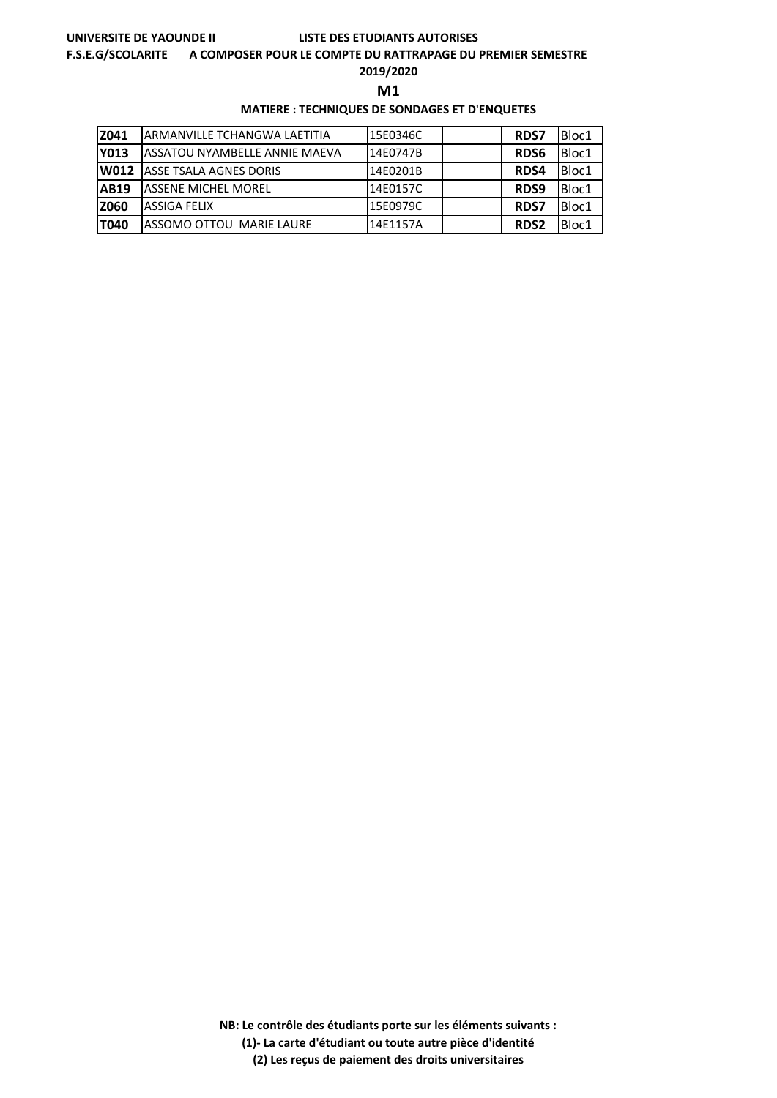#### **F.S.E.G/SCOLARITE A COMPOSER POUR LE COMPTE DU RATTRAPAGE DU PREMIER SEMESTRE**

**2019/2020**

**M1** 

### **MATIERE : TECHNIQUES DE SONDAGES ET D'ENQUETES**

| Z041        | IARMANVILLE TCHANGWA LAETITIA        | 15E0346C | <b>RDS7</b> | Bloc1 |
|-------------|--------------------------------------|----------|-------------|-------|
| <b>Y013</b> | <b>ASSATOU NYAMBELLE ANNIE MAEVA</b> | 14E0747B | <b>RDS6</b> | Bloc1 |
| lW012       | <b>ASSE TSALA AGNES DORIS</b>        | 14E0201B | <b>RDS4</b> | Bloc1 |
| <b>AB19</b> | <b>IASSENE MICHEL MOREL</b>          | 14E0157C | RDS9        | Bloc1 |
| <b>Z060</b> | <b>ASSIGA FELIX</b>                  | 15E0979C | <b>RDS7</b> | Bloc1 |
| <b>T040</b> | ASSOMO OTTOU MARIE LAURE             | 14E1157A | <b>RDS2</b> | Bloc1 |

**NB: Le contrôle des étudiants porte sur les éléments suivants :**

**(1)- La carte d'étudiant ou toute autre pièce d'identité**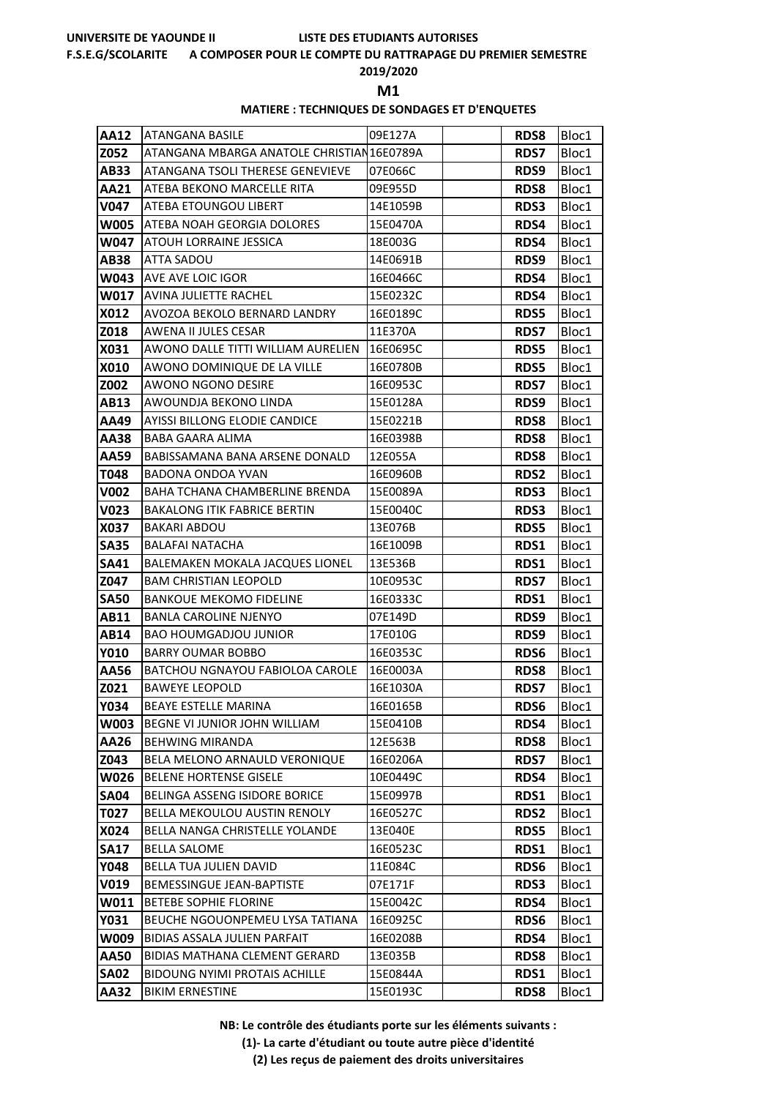#### **F.S.E.G/SCOLARITE A COMPOSER POUR LE COMPTE DU RATTRAPAGE DU PREMIER SEMESTRE**

# **2019/2020**

**M1** 

### **MATIERE : TECHNIQUES DE SONDAGES ET D'ENQUETES**

| <b>AA12</b> | <b>ATANGANA BASILE</b>                     | 09E127A  | <b>RDS8</b> | Bloc1 |
|-------------|--------------------------------------------|----------|-------------|-------|
| Z052        | ATANGANA MBARGA ANATOLE CHRISTIAN 16E0789A |          | <b>RDS7</b> | Bloc1 |
| AB33        | ATANGANA TSOLI THERESE GENEVIEVE           | 07E066C  | RDS9        | Bloc1 |
| <b>AA21</b> | ATEBA BEKONO MARCELLE RITA                 | 09E955D  | <b>RDS8</b> | Bloc1 |
| <b>V047</b> | ATEBA ETOUNGOU LIBERT                      | 14E1059B | <b>RDS3</b> | Bloc1 |
| <b>W005</b> | ATEBA NOAH GEORGIA DOLORES                 | 15E0470A | RDS4        | Bloc1 |
| W047        | ATOUH LORRAINE JESSICA                     | 18E003G  | RDS4        | Bloc1 |
| <b>AB38</b> | <b>ATTA SADOU</b>                          | 14E0691B | RDS9        | Bloc1 |
| W043        | <b>AVE AVE LOIC IGOR</b>                   | 16E0466C | RDS4        | Bloc1 |
| W017        | AVINA JULIETTE RACHEL                      | 15E0232C | <b>RDS4</b> | Bloc1 |
| X012        | AVOZOA BEKOLO BERNARD LANDRY               | 16E0189C | <b>RDS5</b> | Bloc1 |
| Z018        | AWENA II JULES CESAR                       | 11E370A  | <b>RDS7</b> | Bloc1 |
| X031        | AWONO DALLE TITTI WILLIAM AURELIEN         | 16E0695C | <b>RDS5</b> | Bloc1 |
| X010        | AWONO DOMINIQUE DE LA VILLE                | 16E0780B | <b>RDS5</b> | Bloc1 |
| Z002        | AWONO NGONO DESIRE                         | 16E0953C | <b>RDS7</b> | Bloc1 |
| AB13        | AWOUNDJA BEKONO LINDA                      | 15E0128A | <b>RDS9</b> | Bloc1 |
| AA49        | <b>AYISSI BILLONG ELODIE CANDICE</b>       | 15E0221B | <b>RDS8</b> | Bloc1 |
| AA38        | BABA GAARA ALIMA                           | 16E0398B | <b>RDS8</b> | Bloc1 |
| AA59        | BABISSAMANA BANA ARSENE DONALD             | 12E055A  | <b>RDS8</b> | Bloc1 |
| T048        | BADONA ONDOA YVAN                          | 16E0960B | <b>RDS2</b> | Bloc1 |
| V002        | BAHA TCHANA CHAMBERLINE BRENDA             | 15E0089A | <b>RDS3</b> | Bloc1 |
| V023        | <b>BAKALONG ITIK FABRICE BERTIN</b>        | 15E0040C | <b>RDS3</b> | Bloc1 |
| X037        | <b>BAKARI ABDOU</b>                        | 13E076B  | <b>RDS5</b> | Bloc1 |
| <b>SA35</b> | <b>BALAFAI NATACHA</b>                     | 16E1009B | <b>RDS1</b> | Bloc1 |
| <b>SA41</b> | BALEMAKEN MOKALA JACQUES LIONEL            | 13E536B  | <b>RDS1</b> | Bloc1 |
| Z047        | <b>BAM CHRISTIAN LEOPOLD</b>               | 10E0953C | <b>RDS7</b> | Bloc1 |
| <b>SA50</b> | <b>BANKOUE MEKOMO FIDELINE</b>             | 16E0333C | RDS1        | Bloc1 |
| AB11        | <b>BANLA CAROLINE NJENYO</b>               | 07E149D  | RDS9        | Bloc1 |
| AB14        | <b>BAO HOUMGADJOU JUNIOR</b>               | 17E010G  | RDS9        | Bloc1 |
| <b>Y010</b> | <b>BARRY OUMAR BOBBO</b>                   | 16E0353C | <b>RDS6</b> | Bloc1 |
| AA56        | <b>BATCHOU NGNAYOU FABIOLOA CAROLE</b>     | 16E0003A | <b>RDS8</b> | Bloc1 |
| Z021        | <b>BAWEYE LEOPOLD</b>                      | 16E1030A | <b>RDS7</b> | Bloc1 |
| <b>Y034</b> | <b>BEAYE ESTELLE MARINA</b>                | 16E0165B | <b>RDS6</b> | Bloc1 |
| W003        | BEGNE VI JUNIOR JOHN WILLIAM               | 15E0410B | RDS4        | Bloc1 |
| AA26        | <b>BEHWING MIRANDA</b>                     | 12E563B  | <b>RDS8</b> | Bloc1 |
| Z043        | BELA MELONO ARNAULD VERONIQUE              | 16E0206A | <b>RDS7</b> | Bloc1 |
| W026        | <b>BELENE HORTENSE GISELE</b>              | 10E0449C | RDS4        | Bloc1 |
| <b>SA04</b> | BELINGA ASSENG ISIDORE BORICE              | 15E0997B | RDS1        | Bloc1 |
| T027        | BELLA MEKOULOU AUSTIN RENOLY               | 16E0527C | <b>RDS2</b> | Bloc1 |
| X024        | BELLA NANGA CHRISTELLE YOLANDE             | 13E040E  | <b>RDS5</b> | Bloc1 |
| <b>SA17</b> | <b>BELLA SALOME</b>                        | 16E0523C | RDS1        | Bloc1 |
| <b>Y048</b> | <b>BELLA TUA JULIEN DAVID</b>              | 11E084C  | <b>RDS6</b> | Bloc1 |
| V019        | <b>BEMESSINGUE JEAN-BAPTISTE</b>           | 07E171F  | <b>RDS3</b> | Bloc1 |
| W011        | BETEBE SOPHIE FLORINE                      | 15E0042C | RDS4        | Bloc1 |
| Y031        | BEUCHE NGOUONPEMEU LYSA TATIANA            | 16E0925C | <b>RDS6</b> | Bloc1 |
| W009        | BIDIAS ASSALA JULIEN PARFAIT               | 16E0208B | RDS4        | Bloc1 |
| <b>AA50</b> | <b>BIDIAS MATHANA CLEMENT GERARD</b>       | 13E035B  | <b>RDS8</b> | Bloc1 |
| <b>SA02</b> | <b>BIDOUNG NYIMI PROTAIS ACHILLE</b>       | 15E0844A | <b>RDS1</b> | Bloc1 |
| AA32        | <b>BIKIM ERNESTINE</b>                     | 15E0193C | <b>RDS8</b> | Bloc1 |

**NB: Le contrôle des étudiants porte sur les éléments suivants :**

**(1)- La carte d'étudiant ou toute autre pièce d'identité**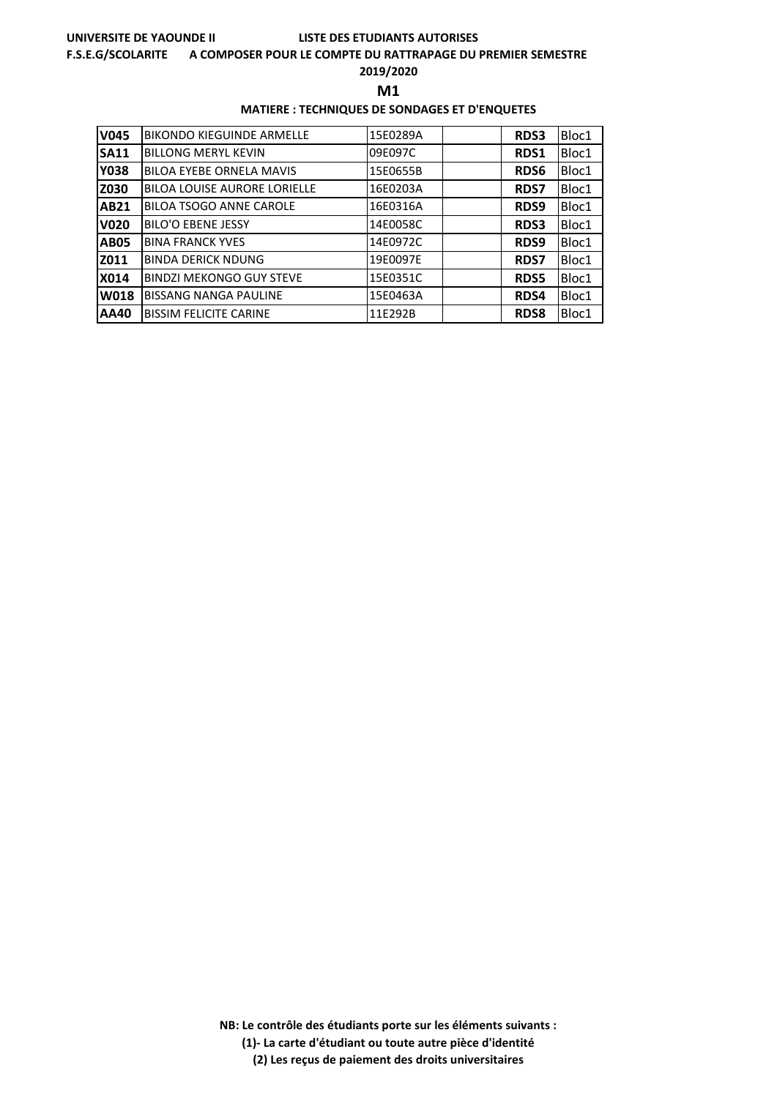#### **F.S.E.G/SCOLARITE A COMPOSER POUR LE COMPTE DU RATTRAPAGE DU PREMIER SEMESTRE**

**2019/2020**

**M1** 

### **MATIERE : TECHNIQUES DE SONDAGES ET D'ENQUETES**

| <b>V045</b> | <b>BIKONDO KIEGUINDE ARMELLE</b>    | 15E0289A | <b>RDS3</b> | Bloc1 |
|-------------|-------------------------------------|----------|-------------|-------|
| <b>SA11</b> | <b>BILLONG MERYL KEVIN</b>          | 09E097C  | <b>RDS1</b> | Bloc1 |
| <b>Y038</b> | <b>BILOA EYEBE ORNELA MAVIS</b>     | 15E0655B | <b>RDS6</b> | Bloc1 |
| Z030        | <b>BILOA LOUISE AURORE LORIELLE</b> | 16E0203A | <b>RDS7</b> | Bloc1 |
| <b>AB21</b> | <b>BILOA TSOGO ANNE CAROLE</b>      | 16E0316A | RDS9        | Bloc1 |
| <b>V020</b> | <b>BILO'O EBENE JESSY</b>           | 14E0058C | <b>RDS3</b> | Bloc1 |
| <b>AB05</b> | <b>BINA FRANCK YVES</b>             | 14E0972C | RDS9        | Bloc1 |
| Z011        | <b>BINDA DERICK NDUNG</b>           | 19E0097E | <b>RDS7</b> | Bloc1 |
| X014        | <b>BINDZI MEKONGO GUY STEVE</b>     | 15E0351C | <b>RDS5</b> | Bloc1 |
| W018        | <b>BISSANG NANGA PAULINE</b>        | 15E0463A | RDS4        | Bloc1 |
| AA40        | <b>BISSIM FELICITE CARINE</b>       | 11E292B  | <b>RDS8</b> | Bloc1 |

**NB: Le contrôle des étudiants porte sur les éléments suivants : (1)- La carte d'étudiant ou toute autre pièce d'identité**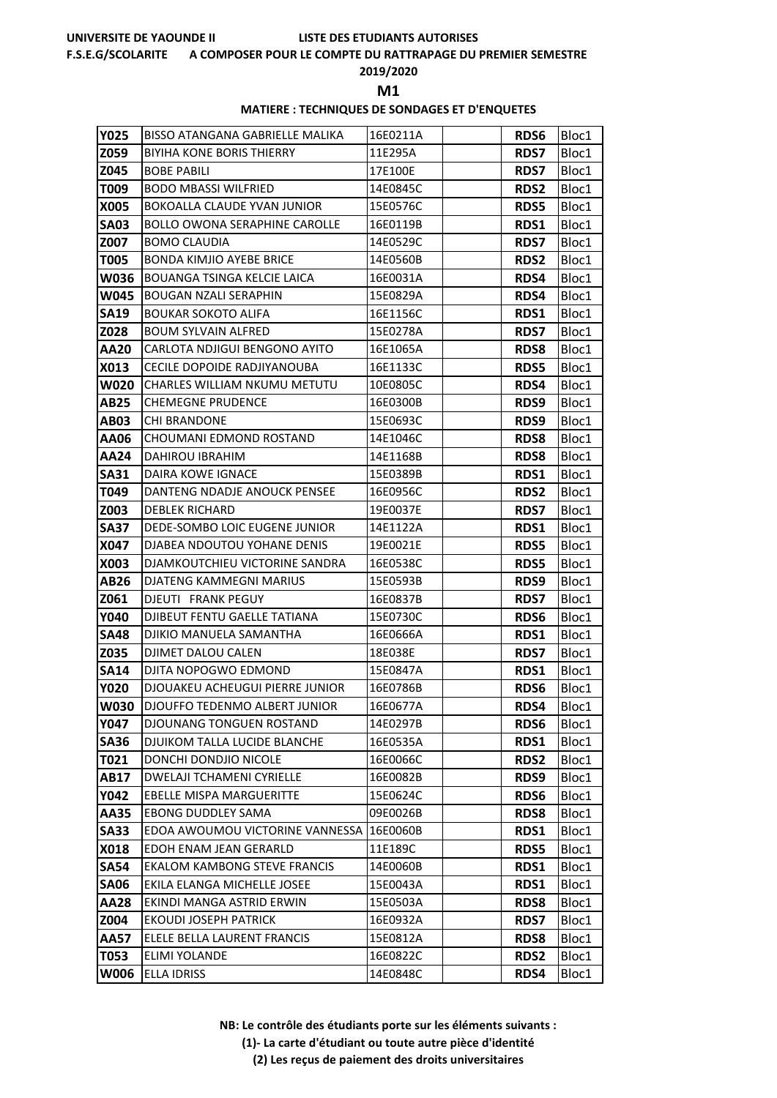#### **F.S.E.G/SCOLARITE A COMPOSER POUR LE COMPTE DU RATTRAPAGE DU PREMIER SEMESTRE**

**2019/2020**

**M1** 

### **MATIERE : TECHNIQUES DE SONDAGES ET D'ENQUETES**

| <b>Y025</b> | BISSO ATANGANA GABRIELLE MALIKA          | 16E0211A | <b>RDS6</b> | Bloc1 |
|-------------|------------------------------------------|----------|-------------|-------|
| Z059        | <b>BIYIHA KONE BORIS THIERRY</b>         | 11E295A  | <b>RDS7</b> | Bloc1 |
| Z045        | <b>BOBE PABILI</b>                       | 17E100E  | <b>RDS7</b> | Bloc1 |
| T009        | <b>BODO MBASSI WILFRIED</b>              | 14E0845C | <b>RDS2</b> | Bloc1 |
| <b>X005</b> | <b>BOKOALLA CLAUDE YVAN JUNIOR</b>       | 15E0576C | <b>RDS5</b> | Bloc1 |
| <b>SA03</b> | <b>BOLLO OWONA SERAPHINE CAROLLE</b>     | 16E0119B | RDS1        | Bloc1 |
| Z007        | <b>BOMO CLAUDIA</b>                      | 14E0529C | <b>RDS7</b> | Bloc1 |
| <b>T005</b> | <b>BONDA KIMJIO AYEBE BRICE</b>          | 14E0560B | <b>RDS2</b> | Bloc1 |
| W036        | <b>BOUANGA TSINGA KELCIE LAICA</b>       | 16E0031A | RDS4        | Bloc1 |
| W045        | <b>BOUGAN NZALI SERAPHIN</b>             | 15E0829A | RDS4        | Bloc1 |
| <b>SA19</b> | <b>BOUKAR SOKOTO ALIFA</b>               | 16E1156C | <b>RDS1</b> | Bloc1 |
| Z028        | BOUM SYLVAIN ALFRED                      | 15E0278A | <b>RDS7</b> | Bloc1 |
| AA20        | CARLOTA NDJIGUI BENGONO AYITO            | 16E1065A | <b>RDS8</b> | Bloc1 |
| X013        | CECILE DOPOIDE RADJIYANOUBA              | 16E1133C | <b>RDS5</b> | Bloc1 |
| <b>W020</b> | CHARLES WILLIAM NKUMU METUTU             | 10E0805C | RDS4        | Bloc1 |
| AB25        | <b>CHEMEGNE PRUDENCE</b>                 | 16E0300B | RDS9        | Bloc1 |
| <b>AB03</b> | <b>CHI BRANDONE</b>                      | 15E0693C | RDS9        | Bloc1 |
| AA06        | CHOUMANI EDMOND ROSTAND                  | 14E1046C | <b>RDS8</b> | Bloc1 |
| AA24        | DAHIROU IBRAHIM                          | 14E1168B | <b>RDS8</b> | Bloc1 |
| <b>SA31</b> | <b>DAIRA KOWE IGNACE</b>                 | 15E0389B | RDS1        | Bloc1 |
| T049        | DANTENG NDADJE ANOUCK PENSEE             | 16E0956C | <b>RDS2</b> | Bloc1 |
| Z003        | <b>DEBLEK RICHARD</b>                    | 19E0037E | <b>RDS7</b> | Bloc1 |
| <b>SA37</b> | DEDE-SOMBO LOIC EUGENE JUNIOR            | 14E1122A | RDS1        | Bloc1 |
| X047        | DJABEA NDOUTOU YOHANE DENIS              | 19E0021E | <b>RDS5</b> | Bloc1 |
| <b>X003</b> | DJAMKOUTCHIEU VICTORINE SANDRA           | 16E0538C | <b>RDS5</b> | Bloc1 |
| AB26        | DJATENG KAMMEGNI MARIUS                  | 15E0593B | <b>RDS9</b> | Bloc1 |
| Z061        | DJEUTI FRANK PEGUY                       | 16E0837B | <b>RDS7</b> | Bloc1 |
| <b>Y040</b> | DJIBEUT FENTU GAELLE TATIANA             | 15E0730C | <b>RDS6</b> | Bloc1 |
| <b>SA48</b> | DJIKIO MANUELA SAMANTHA                  | 16E0666A | RDS1        | Bloc1 |
| Z035        | <b>DJIMET DALOU CALEN</b>                | 18E038E  | <b>RDS7</b> | Bloc1 |
| <b>SA14</b> | DJITA NOPOGWO EDMOND                     | 15E0847A | RDS1        | Bloc1 |
| <b>Y020</b> | DJOUAKEU ACHEUGUI PIERRE JUNIOR          | 16E0786B | <b>RDS6</b> | Bloc1 |
| <b>W030</b> | DJOUFFO TEDENMO ALBERT JUNIOR            | 16E0677A | RDS4        | Bloc1 |
| Y047        | <b>DJOUNANG TONGUEN ROSTAND</b>          | 14E0297B | RDS6        | Bloc1 |
| <b>SA36</b> | DJUIKOM TALLA LUCIDE BLANCHE             | 16E0535A | RDS1        | Bloc1 |
| T021        | DONCHI DONDJIO NICOLE                    | 16E0066C | <b>RDS2</b> | Bloc1 |
| AB17        | <b>DWELAJI TCHAMENI CYRIELLE</b>         | 16E0082B | RDS9        | Bloc1 |
| <b>Y042</b> | <b>EBELLE MISPA MARGUERITTE</b>          | 15E0624C | <b>RDS6</b> | Bloc1 |
| AA35        | <b>EBONG DUDDLEY SAMA</b>                | 09E0026B | <b>RDS8</b> | Bloc1 |
| <b>SA33</b> | EDOA AWOUMOU VICTORINE VANNESSA 16E0060B |          | <b>RDS1</b> | Bloc1 |
| X018        | EDOH ENAM JEAN GERARLD                   | 11E189C  | <b>RDS5</b> | Bloc1 |
| <b>SA54</b> | <b>EKALOM KAMBONG STEVE FRANCIS</b>      | 14E0060B | RDS1        | Bloc1 |
| <b>SA06</b> | EKILA ELANGA MICHELLE JOSEE              | 15E0043A | <b>RDS1</b> | Bloc1 |
| <b>AA28</b> | EKINDI MANGA ASTRID ERWIN                | 15E0503A | <b>RDS8</b> | Bloc1 |
| Z004        | <b>EKOUDI JOSEPH PATRICK</b>             | 16E0932A | <b>RDS7</b> | Bloc1 |
| <b>AA57</b> | ELELE BELLA LAURENT FRANCIS              | 15E0812A | <b>RDS8</b> | Bloc1 |
| T053        | ELIMI YOLANDE                            | 16E0822C | <b>RDS2</b> | Bloc1 |
| <b>W006</b> | ELLA IDRISS                              | 14E0848C | RDS4        | Bloc1 |

**NB: Le contrôle des étudiants porte sur les éléments suivants : (1)- La carte d'étudiant ou toute autre pièce d'identité**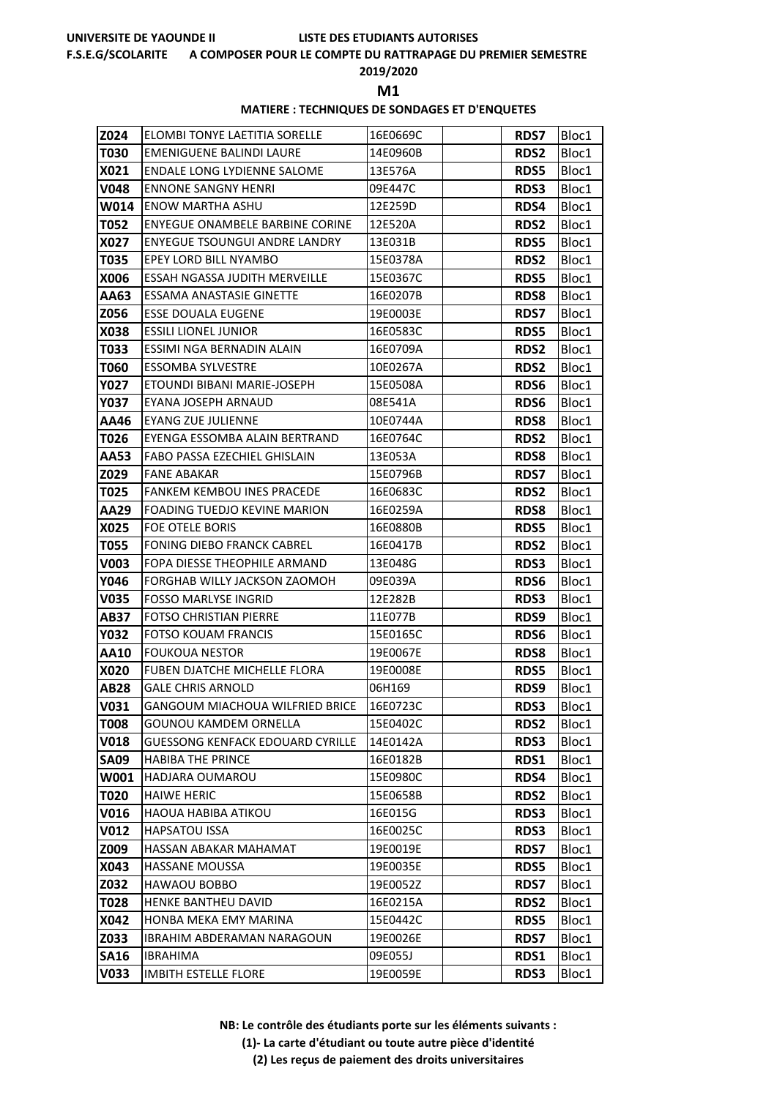#### **F.S.E.G/SCOLARITE A COMPOSER POUR LE COMPTE DU RATTRAPAGE DU PREMIER SEMESTRE**

### **2019/2020**

**M1** 

### **MATIERE : TECHNIQUES DE SONDAGES ET D'ENQUETES**

| Z024        | ELOMBI TONYE LAETITIA SORELLE           | 16E0669C | <b>RDS7</b> | Bloc1 |
|-------------|-----------------------------------------|----------|-------------|-------|
| <b>T030</b> | <b>EMENIGUENE BALINDI LAURE</b>         | 14E0960B | <b>RDS2</b> | Bloc1 |
| X021        | <b>ENDALE LONG LYDIENNE SALOME</b>      | 13E576A  | <b>RDS5</b> | Bloc1 |
| <b>V048</b> | <b>ENNONE SANGNY HENRI</b>              | 09E447C  | <b>RDS3</b> | Bloc1 |
| W014        | <b>ENOW MARTHA ASHU</b>                 | 12E259D  | RDS4        | Bloc1 |
| <b>T052</b> | <b>ENYEGUE ONAMBELE BARBINE CORINE</b>  | 12E520A  | <b>RDS2</b> | Bloc1 |
| X027        | <b>ENYEGUE TSOUNGUI ANDRE LANDRY</b>    | 13E031B  | <b>RDS5</b> | Bloc1 |
| T035        | <b>EPEY LORD BILL NYAMBO</b>            | 15E0378A | <b>RDS2</b> | Bloc1 |
| X006        | ESSAH NGASSA JUDITH MERVEILLE           | 15E0367C | <b>RDS5</b> | Bloc1 |
| AA63        | ESSAMA ANASTASIE GINETTE                | 16E0207B | <b>RDS8</b> | Bloc1 |
| Z056        | <b>ESSE DOUALA EUGENE</b>               | 19E0003E | <b>RDS7</b> | Bloc1 |
| X038        | <b>ESSILI LIONEL JUNIOR</b>             | 16E0583C | <b>RDS5</b> | Bloc1 |
| T033        | ESSIMI NGA BERNADIN ALAIN               | 16E0709A | <b>RDS2</b> | Bloc1 |
| T060        | <b>ESSOMBA SYLVESTRE</b>                | 10E0267A | <b>RDS2</b> | Bloc1 |
| <b>Y027</b> | ETOUNDI BIBANI MARIE-JOSEPH             | 15E0508A | <b>RDS6</b> | Bloc1 |
| <b>Y037</b> | EYANA JOSEPH ARNAUD                     | 08E541A  | <b>RDS6</b> | Bloc1 |
| AA46        | <b>EYANG ZUE JULIENNE</b>               | 10E0744A | <b>RDS8</b> | Bloc1 |
| T026        | EYENGA ESSOMBA ALAIN BERTRAND           | 16E0764C | <b>RDS2</b> | Bloc1 |
| AA53        | <b>FABO PASSA EZECHIEL GHISLAIN</b>     | 13E053A  | <b>RDS8</b> | Bloc1 |
| Z029        | <b>FANE ABAKAR</b>                      | 15E0796B | <b>RDS7</b> | Bloc1 |
| T025        | <b>FANKEM KEMBOU INES PRACEDE</b>       | 16E0683C | <b>RDS2</b> | Bloc1 |
| AA29        | FOADING TUEDJO KEVINE MARION            | 16E0259A | <b>RDS8</b> | Bloc1 |
| X025        | <b>FOE OTELE BORIS</b>                  | 16E0880B | <b>RDS5</b> | Bloc1 |
| <b>T055</b> | <b>FONING DIEBO FRANCK CABREL</b>       | 16E0417B | <b>RDS2</b> | Bloc1 |
| V003        | FOPA DIESSE THEOPHILE ARMAND            | 13E048G  | <b>RDS3</b> | Bloc1 |
| Y046        | FORGHAB WILLY JACKSON ZAOMOH            | 09E039A  | <b>RDS6</b> | Bloc1 |
| <b>V035</b> | <b>FOSSO MARLYSE INGRID</b>             | 12E282B  | <b>RDS3</b> | Bloc1 |
| <b>AB37</b> | FOTSO CHRISTIAN PIERRE                  | 11E077B  | RDS9        | Bloc1 |
| <b>Y032</b> | FOTSO KOUAM FRANCIS                     | 15E0165C | RDS6        | Bloc1 |
| AA10        | <b>FOUKOUA NESTOR</b>                   | 19E0067E | <b>RDS8</b> | Bloc1 |
| <b>X020</b> | <b>FUBEN DJATCHE MICHELLE FLORA</b>     | 19E0008E | <b>RDS5</b> | Bloc1 |
| <b>AB28</b> | <b>GALE CHRIS ARNOLD</b>                | 06H169   | RDS9        | Bloc1 |
| <b>V031</b> | GANGOUM MIACHOUA WILFRIED BRICE         | 16E0723C | <b>RDS3</b> | Bloc1 |
| <b>T008</b> | <b>GOUNOU KAMDEM ORNELLA</b>            | 15E0402C | <b>RDS2</b> | Bloc1 |
| <b>V018</b> | <b>GUESSONG KENFACK EDOUARD CYRILLE</b> | 14E0142A | RDS3        | Bloc1 |
| <b>SA09</b> | <b>HABIBA THE PRINCE</b>                | 16E0182B | <b>RDS1</b> | Bloc1 |
| W001        | HADJARA OUMAROU                         | 15E0980C | RDS4        | Bloc1 |
| T020        | <b>HAIWE HERIC</b>                      | 15E0658B | <b>RDS2</b> | Bloc1 |
| V016        | <b>HAOUA HABIBA ATIKOU</b>              | 16E015G  | <b>RDS3</b> | Bloc1 |
| <b>V012</b> | <b>HAPSATOU ISSA</b>                    | 16E0025C | <b>RDS3</b> | Bloc1 |
| Z009        | HASSAN ABAKAR MAHAMAT                   | 19E0019E | <b>RDS7</b> | Bloc1 |
| X043        | HASSANE MOUSSA                          | 19E0035E | <b>RDS5</b> | Bloc1 |
| Z032        | HAWAOU BOBBO                            | 19E0052Z | <b>RDS7</b> | Bloc1 |
| T028        | HENKE BANTHEU DAVID                     | 16E0215A | <b>RDS2</b> | Bloc1 |
| X042        | HONBA MEKA EMY MARINA                   | 15E0442C | <b>RDS5</b> | Bloc1 |
| Z033        | <b>IBRAHIM ABDERAMAN NARAGOUN</b>       | 19E0026E | <b>RDS7</b> | Bloc1 |
| <b>SA16</b> | <b>IBRAHIMA</b>                         | 09E055J  | RDS1        | Bloc1 |
| <b>V033</b> | <b>IMBITH ESTELLE FLORE</b>             | 19E0059E | RDS3        | Bloc1 |

**NB: Le contrôle des étudiants porte sur les éléments suivants :**

**(1)- La carte d'étudiant ou toute autre pièce d'identité**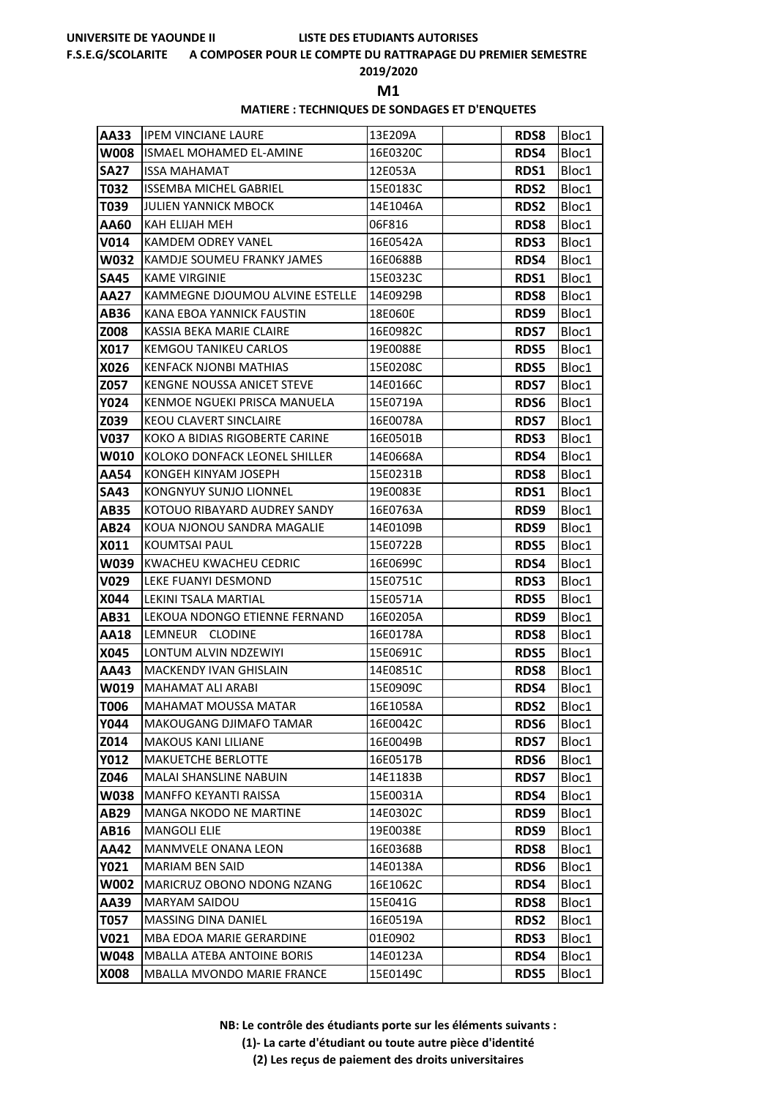#### **F.S.E.G/SCOLARITE A COMPOSER POUR LE COMPTE DU RATTRAPAGE DU PREMIER SEMESTRE**

### **2019/2020**

**M1** 

### **MATIERE : TECHNIQUES DE SONDAGES ET D'ENQUETES**

| <b>AA33</b> | <b>IPEM VINCIANE LAURE</b>        | 13E209A  | <b>RDS8</b> | Bloc1 |
|-------------|-----------------------------------|----------|-------------|-------|
| <b>W008</b> | ISMAEL MOHAMED EL-AMINE           | 16E0320C | RDS4        | Bloc1 |
| <b>SA27</b> | ISSA MAHAMAT                      | 12E053A  | <b>RDS1</b> | Bloc1 |
| T032        | <b>ISSEMBA MICHEL GABRIEL</b>     | 15E0183C | <b>RDS2</b> | Bloc1 |
| T039        | JULIEN YANNICK MBOCK              | 14E1046A | <b>RDS2</b> | Bloc1 |
| AA60        | <b>KAH ELIJAH MEH</b>             | 06F816   | <b>RDS8</b> | Bloc1 |
| <b>V014</b> | KAMDEM ODREY VANEL                | 16E0542A | <b>RDS3</b> | Bloc1 |
| <b>W032</b> | KAMDJE SOUMEU FRANKY JAMES        | 16E0688B | RDS4        | Bloc1 |
| <b>SA45</b> | <b>KAME VIRGINIE</b>              | 15E0323C | RDS1        | Bloc1 |
| AA27        | KAMMEGNE DJOUMOU ALVINE ESTELLE   | 14E0929B | <b>RDS8</b> | Bloc1 |
| AB36        | KANA EBOA YANNICK FAUSTIN         | 18E060E  | <b>RDS9</b> | Bloc1 |
| Z008        | KASSIA BEKA MARIE CLAIRE          | 16E0982C | <b>RDS7</b> | Bloc1 |
| X017        | <b>KEMGOU TANIKEU CARLOS</b>      | 19E0088E | <b>RDS5</b> | Bloc1 |
| X026        | <b>KENFACK NJONBI MATHIAS</b>     | 15E0208C | <b>RDS5</b> | Bloc1 |
| Z057        | <b>KENGNE NOUSSA ANICET STEVE</b> | 14E0166C | <b>RDS7</b> | Bloc1 |
| <b>Y024</b> | KENMOE NGUEKI PRISCA MANUELA      | 15E0719A | <b>RDS6</b> | Bloc1 |
| Z039        | <b>KEOU CLAVERT SINCLAIRE</b>     | 16E0078A | <b>RDS7</b> | Bloc1 |
| V037        | KOKO A BIDIAS RIGOBERTE CARINE    | 16E0501B | <b>RDS3</b> | Bloc1 |
| W010        | IKOLOKO DONFACK LEONEL SHILLER    | 14E0668A | RDS4        | Bloc1 |
| <b>AA54</b> | KONGEH KINYAM JOSEPH              | 15E0231B | <b>RDS8</b> | Bloc1 |
| <b>SA43</b> | KONGNYUY SUNJO LIONNEL            | 19E0083E | <b>RDS1</b> | Bloc1 |
| <b>AB35</b> | KOTOUO RIBAYARD AUDREY SANDY      | 16E0763A | RDS9        | Bloc1 |
| AB24        | KOUA NJONOU SANDRA MAGALIE        | 14E0109B | RDS9        | Bloc1 |
| X011        | KOUMTSAI PAUL                     | 15E0722B | <b>RDS5</b> | Bloc1 |
| W039        | KWACHEU KWACHEU CEDRIC            | 16E0699C | RDS4        | Bloc1 |
| V029        | LEKE FUANYI DESMOND               | 15E0751C | <b>RDS3</b> | Bloc1 |
| <b>X044</b> | LEKINI TSALA MARTIAL              | 15E0571A | <b>RDS5</b> | Bloc1 |
| AB31        | LEKOUA NDONGO ETIENNE FERNAND     | 16E0205A | RDS9        | Bloc1 |
| AA18        | LEMNEUR CLODINE                   | 16E0178A | <b>RDS8</b> | Bloc1 |
| X045        | LONTUM ALVIN NDZEWIYI             | 15E0691C | <b>RDS5</b> | Bloc1 |
| AA43        | <b>MACKENDY IVAN GHISLAIN</b>     | 14E0851C | <b>RDS8</b> | Bloc1 |
| W019        | <b>MAHAMAT ALI ARABI</b>          | 15E0909C | RDS4        | Bloc1 |
| <b>T006</b> | IMAHAMAT MOUSSA MATAR             | 16E1058A | <b>RDS2</b> | Bloc1 |
| <b>Y044</b> | <b>MAKOUGANG DJIMAFO TAMAR</b>    | 16E0042C | <b>RDS6</b> | Bloc1 |
| Z014        | <b>MAKOUS KANI LILIANE</b>        | 16E0049B | <b>RDS7</b> | Bloc1 |
| <b>Y012</b> | <b>MAKUETCHE BERLOTTE</b>         | 16E0517B | <b>RDS6</b> | Bloc1 |
| Z046        | <b>MALAI SHANSLINE NABUIN</b>     | 14E1183B | <b>RDS7</b> | Bloc1 |
| <b>W038</b> | <b>MANFFO KEYANTI RAISSA</b>      | 15E0031A | RDS4        | Bloc1 |
| AB29        | <b>MANGA NKODO NE MARTINE</b>     | 14E0302C | RDS9        | Bloc1 |
| <b>AB16</b> | <b>MANGOLI ELIE</b>               | 19E0038E | RDS9        | Bloc1 |
| <b>AA42</b> | MANMVELE ONANA LEON               | 16E0368B | <b>RDS8</b> | Bloc1 |
| Y021        | <b>MARIAM BEN SAID</b>            | 14E0138A | <b>RDS6</b> | Bloc1 |
| W002        | MARICRUZ OBONO NDONG NZANG        | 16E1062C | <b>RDS4</b> | Bloc1 |
| AA39        | <b>MARYAM SAIDOU</b>              | 15E041G  | <b>RDS8</b> | Bloc1 |
| T057        | <b>MASSING DINA DANIEL</b>        | 16E0519A | <b>RDS2</b> | Bloc1 |
| V021        | MBA EDOA MARIE GERARDINE          | 01E0902  | <b>RDS3</b> | Bloc1 |
| W048        | <b>MBALLA ATEBA ANTOINE BORIS</b> | 14E0123A | RDS4        | Bloc1 |
| X008        | MBALLA MVONDO MARIE FRANCE        | 15E0149C | <b>RDS5</b> | Bloc1 |

**NB: Le contrôle des étudiants porte sur les éléments suivants : (1)- La carte d'étudiant ou toute autre pièce d'identité (2) Les reçus de paiement des droits universitaires**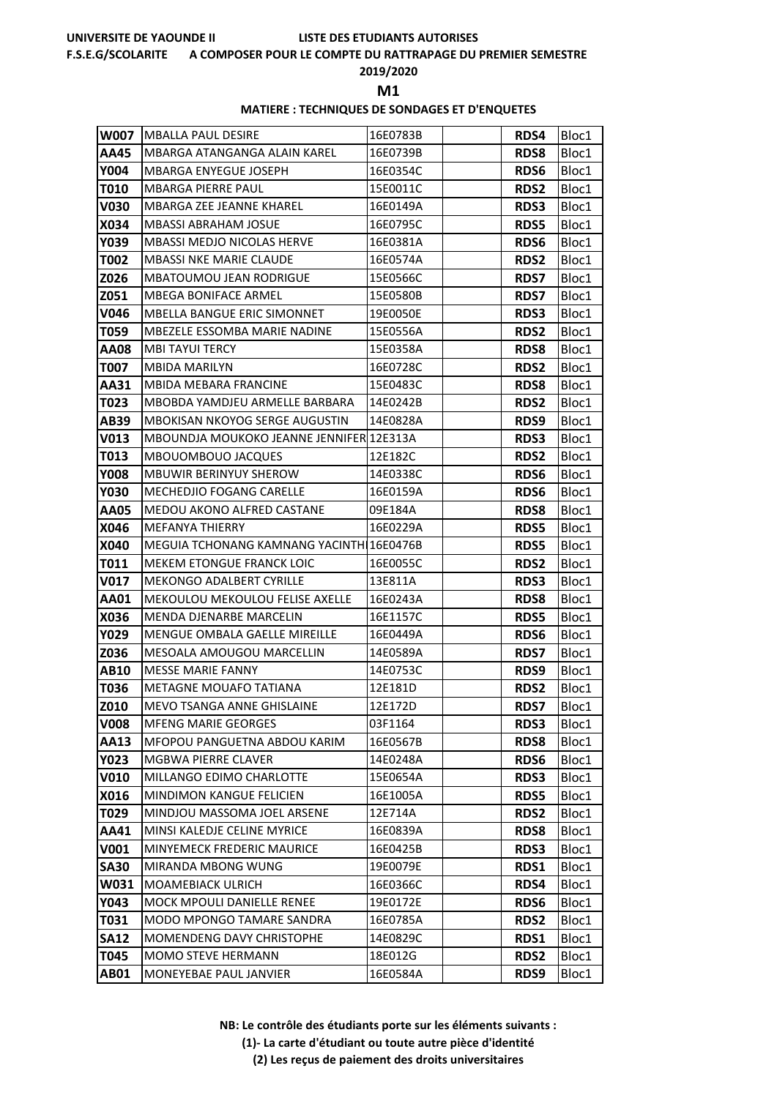#### **F.S.E.G/SCOLARITE A COMPOSER POUR LE COMPTE DU RATTRAPAGE DU PREMIER SEMESTRE**

## **2019/2020**

**M1** 

#### **MATIERE : TECHNIQUES DE SONDAGES ET D'ENQUETES**

| <b>W007</b> | IMBALLA PAUL DESIRE                      | 16E0783B | <b>RDS4</b> | Bloc1 |
|-------------|------------------------------------------|----------|-------------|-------|
| <b>AA45</b> | MBARGA ATANGANGA ALAIN KAREL             | 16E0739B | <b>RDS8</b> | Bloc1 |
| <b>Y004</b> | <b>MBARGA ENYEGUE JOSEPH</b>             | 16E0354C | <b>RDS6</b> | Bloc1 |
| T010        | <b>MBARGA PIERRE PAUL</b>                | 15E0011C | <b>RDS2</b> | Bloc1 |
| <b>V030</b> | <b>MBARGA ZEE JEANNE KHAREL</b>          | 16E0149A | <b>RDS3</b> | Bloc1 |
| X034        | <b>MBASSI ABRAHAM JOSUE</b>              | 16E0795C | <b>RDS5</b> | Bloc1 |
| Y039        | <b>MBASSI MEDJO NICOLAS HERVE</b>        | 16E0381A | RDS6        | Bloc1 |
| <b>T002</b> | MBASSI NKE MARIE CLAUDE                  | 16E0574A | <b>RDS2</b> | Bloc1 |
| Z026        | <b>MBATOUMOU JEAN RODRIGUE</b>           | 15E0566C | <b>RDS7</b> | Bloc1 |
| Z051        | <b>MBEGA BONIFACE ARMEL</b>              | 15E0580B | <b>RDS7</b> | Bloc1 |
| V046        | MBELLA BANGUE ERIC SIMONNET              | 19E0050E | <b>RDS3</b> | Bloc1 |
| T059        | MBEZELE ESSOMBA MARIE NADINE             | 15E0556A | <b>RDS2</b> | Bloc1 |
| <b>AA08</b> | <b>MBI TAYUI TERCY</b>                   | 15E0358A | <b>RDS8</b> | Bloc1 |
| <b>T007</b> | <b>MBIDA MARILYN</b>                     | 16E0728C | <b>RDS2</b> | Bloc1 |
| AA31        | MBIDA MEBARA FRANCINE                    | 15E0483C | <b>RDS8</b> | Bloc1 |
| T023        | MBOBDA YAMDJEU ARMELLE BARBARA           | 14E0242B | <b>RDS2</b> | Bloc1 |
| <b>AB39</b> | <b>MBOKISAN NKOYOG SERGE AUGUSTIN</b>    | 14E0828A | RDS9        | Bloc1 |
| <b>V013</b> | MBOUNDJA MOUKOKO JEANNE JENNIFER 12E313A |          | <b>RDS3</b> | Bloc1 |
| T013        | MBOUOMBOUO JACQUES                       | 12E182C  | <b>RDS2</b> | Bloc1 |
| <b>Y008</b> | <b>MBUWIR BERINYUY SHEROW</b>            | 14E0338C | <b>RDS6</b> | Bloc1 |
| <b>Y030</b> | <b>MECHEDJIO FOGANG CARELLE</b>          | 16E0159A | <b>RDS6</b> | Bloc1 |
| <b>AA05</b> | MEDOU AKONO ALFRED CASTANE               | 09E184A  | <b>RDS8</b> | Bloc1 |
| X046        | <b>MEFANYA THIERRY</b>                   | 16E0229A | <b>RDS5</b> | Bloc1 |
| X040        | MEGUIA TCHONANG KAMNANG YACINTH 16E0476B |          | <b>RDS5</b> | Bloc1 |
| T011        | <b>MEKEM ETONGUE FRANCK LOIC</b>         | 16E0055C | <b>RDS2</b> | Bloc1 |
| <b>V017</b> | <b>MEKONGO ADALBERT CYRILLE</b>          | 13E811A  | <b>RDS3</b> | Bloc1 |
| <b>AA01</b> | MEKOULOU MEKOULOU FELISE AXELLE          | 16E0243A | <b>RDS8</b> | Bloc1 |
| X036        | MENDA DJENARBE MARCELIN                  | 16E1157C | <b>RDS5</b> | Bloc1 |
| <b>Y029</b> | <b>MENGUE OMBALA GAELLE MIREILLE</b>     | 16E0449A | <b>RDS6</b> | Bloc1 |
| Z036        | MESOALA AMOUGOU MARCELLIN                | 14E0589A | <b>RDS7</b> | Bloc1 |
| <b>AB10</b> | <b>MESSE MARIE FANNY</b>                 | 14E0753C | RDS9        | Bloc1 |
| T036        | METAGNE MOUAFO TATIANA                   | 12E181D  | <b>RDS2</b> | Bloc1 |
| <b>Z010</b> | MEVO TSANGA ANNE GHISLAINE               | 12E172D  | <b>RDS7</b> | Bloc1 |
| <b>V008</b> | <b>MFENG MARIE GEORGES</b>               | 03F1164  | <b>RDS3</b> | Bloc1 |
| AA13        | MFOPOU PANGUETNA ABDOU KARIM             | 16E0567B | <b>RDS8</b> | Bloc1 |
| <b>Y023</b> | MGBWA PIERRE CLAVER                      | 14E0248A | <b>RDS6</b> | Bloc1 |
| <b>V010</b> | MILLANGO EDIMO CHARLOTTE                 | 15E0654A | <b>RDS3</b> | Bloc1 |
| X016        | MINDIMON KANGUE FELICIEN                 | 16E1005A | <b>RDS5</b> | Bloc1 |
| T029        | MINDJOU MASSOMA JOEL ARSENE              | 12E714A  | <b>RDS2</b> | Bloc1 |
| AA41        | MINSI KALEDJE CELINE MYRICE              | 16E0839A | <b>RDS8</b> | Bloc1 |
| V001        | MINYEMECK FREDERIC MAURICE               | 16E0425B | <b>RDS3</b> | Bloc1 |
| <b>SA30</b> | MIRANDA MBONG WUNG                       | 19E0079E | <b>RDS1</b> | Bloc1 |
| W031        | <b>MOAMEBIACK ULRICH</b>                 | 16E0366C | <b>RDS4</b> | Bloc1 |
| Y043        | MOCK MPOULI DANIELLE RENEE               | 19E0172E | <b>RDS6</b> | Bloc1 |
| T031        | MODO MPONGO TAMARE SANDRA                | 16E0785A | <b>RDS2</b> | Bloc1 |
| <b>SA12</b> | MOMENDENG DAVY CHRISTOPHE                | 14E0829C | RDS1        | Bloc1 |
| T045        | <b>MOMO STEVE HERMANN</b>                | 18E012G  | <b>RDS2</b> | Bloc1 |
| <b>AB01</b> | <b>MONEYEBAE PAUL JANVIER</b>            | 16E0584A | RDS9        | Bloc1 |

**NB: Le contrôle des étudiants porte sur les éléments suivants : (1)- La carte d'étudiant ou toute autre pièce d'identité (2) Les reçus de paiement des droits universitaires**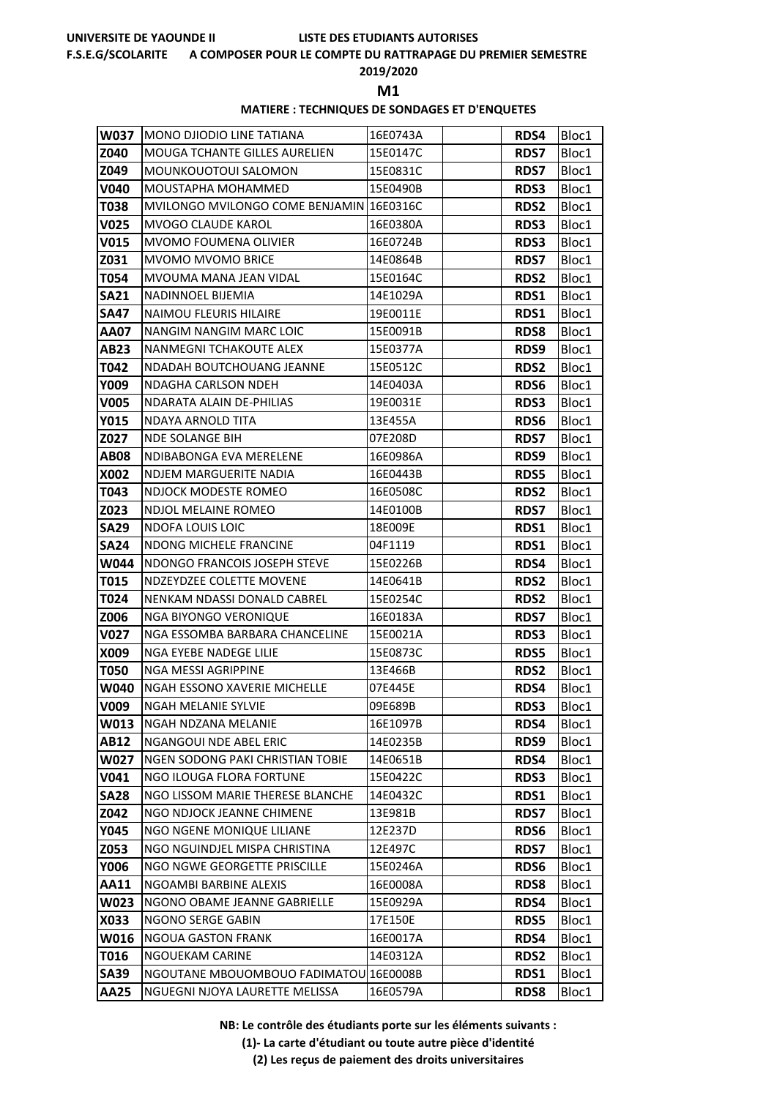#### **F.S.E.G/SCOLARITE A COMPOSER POUR LE COMPTE DU RATTRAPAGE DU PREMIER SEMESTRE**

### **2019/2020**

**M1** 

#### **MATIERE : TECHNIQUES DE SONDAGES ET D'ENQUETES**

| W037         | IMONO DJIODIO LINE TATIANA                                 | 16E0743A             | RDS4                | Bloc1          |
|--------------|------------------------------------------------------------|----------------------|---------------------|----------------|
| Z040         | <b>MOUGA TCHANTE GILLES AURELIEN</b>                       | 15E0147C             | <b>RDS7</b>         | Bloc1          |
| Z049         | MOUNKOUOTOUI SALOMON                                       | 15E0831C             | <b>RDS7</b>         | Bloc1          |
| <b>V040</b>  | MOUSTAPHA MOHAMMED                                         | 15E0490B             | <b>RDS3</b>         | Bloc1          |
| T038         | MVILONGO MVILONGO COME BENJAMIN 16E0316C                   |                      | <b>RDS2</b>         | Bloc1          |
| V025         | <b>MVOGO CLAUDE KAROL</b>                                  | 16E0380A             | <b>RDS3</b>         | Bloc1          |
| <b>V015</b>  | <b>MVOMO FOUMENA OLIVIER</b>                               | 16E0724B             | <b>RDS3</b>         | Bloc1          |
| Z031         | <b>MVOMO MVOMO BRICE</b>                                   | 14E0864B             | <b>RDS7</b>         | Bloc1          |
| T054         | MVOUMA MANA JEAN VIDAL                                     | 15E0164C             | <b>RDS2</b>         | Bloc1          |
| <b>SA21</b>  | NADINNOEL BIJEMIA                                          | 14E1029A             | <b>RDS1</b>         | Bloc1          |
| <b>SA47</b>  | <b>NAIMOU FLEURIS HILAIRE</b>                              | 19E0011E             | RDS1                | Bloc1          |
| AA07         | NANGIM NANGIM MARC LOIC                                    | 15E0091B             | <b>RDS8</b>         | Bloc1          |
| <b>AB23</b>  | NANMEGNI TCHAKOUTE ALEX                                    | 15E0377A             | RDS9                | Bloc1          |
| T042         | NDADAH BOUTCHOUANG JEANNE                                  | 15E0512C             | <b>RDS2</b>         | Bloc1          |
| Y009         | NDAGHA CARLSON NDEH                                        | 14E0403A             | <b>RDS6</b>         | Bloc1          |
| <b>V005</b>  | <b>NDARATA ALAIN DE-PHILIAS</b>                            | 19E0031E             | <b>RDS3</b>         | Bloc1          |
| <b>Y015</b>  | <b>NDAYA ARNOLD TITA</b>                                   | 13E455A              | <b>RDS6</b>         | Bloc1          |
| Z027         | <b>NDE SOLANGE BIH</b>                                     | 07E208D              | <b>RDS7</b>         | Bloc1          |
| <b>AB08</b>  | NDIBABONGA EVA MERELENE                                    | 16E0986A             | <b>RDS9</b>         | Bloc1          |
| X002         | <b>NDJEM MARGUERITE NADIA</b>                              | 16E0443B             | <b>RDS5</b>         | Bloc1          |
| T043         | NDJOCK MODESTE ROMEO                                       | 16E0508C             | <b>RDS2</b>         | Bloc1          |
| Z023         | NDJOL MELAINE ROMEO                                        | 14E0100B             | RDS7                | Bloc1          |
| <b>SA29</b>  | <b>NDOFA LOUIS LOIC</b>                                    | 18E009E              | RDS1                | Bloc1          |
| <b>SA24</b>  | NDONG MICHELE FRANCINE                                     | 04F1119              | RDS1                | Bloc1          |
| W044         | NDONGO FRANCOIS JOSEPH STEVE                               | 15E0226B             | <b>RDS4</b>         | Bloc1          |
| T015         | NDZEYDZEE COLETTE MOVENE                                   | 14E0641B             | <b>RDS2</b>         | Bloc1          |
| T024         | NENKAM NDASSI DONALD CABREL                                | 15E0254C             | <b>RDS2</b>         | Bloc1          |
| Z006         | NGA BIYONGO VERONIQUE                                      | 16E0183A             | <b>RDS7</b>         | Bloc1          |
| <b>V027</b>  | NGA ESSOMBA BARBARA CHANCELINE                             | 15E0021A             | RDS3                | Bloc1          |
| X009         | NGA EYEBE NADEGE LILIE                                     | 15E0873C             | RDS5                | Bloc1          |
| <b>T050</b>  | <b>NGA MESSI AGRIPPINE</b>                                 | 13E466B              | <b>RDS2</b>         | Bloc1          |
| W040         | NGAH ESSONO XAVERIE MICHELLE                               | 07E445E              | <b>RDS4</b>         | Bloc1          |
| V009         | NGAH MELANIE SYLVIE                                        | 09E689B              | RDS3                | Bloc1          |
| W013         | NGAH NDZANA MELANIE                                        | 16E1097B             | RDS4                | Bloc1          |
| AB12<br>W027 | NGANGOUI NDE ABEL ERIC<br>NGEN SODONG PAKI CHRISTIAN TOBIE | 14E0235B<br>14E0651B | RDS9                | Bloc1          |
| V041         | NGO ILOUGA FLORA FORTUNE                                   | 15E0422C             | <b>RDS4</b><br>RDS3 | Bloc1<br>Bloc1 |
| <b>SA28</b>  | NGO LISSOM MARIE THERESE BLANCHE                           | 14E0432C             | <b>RDS1</b>         | Bloc1          |
| Z042         | NGO NDJOCK JEANNE CHIMENE                                  | 13E981B              | <b>RDS7</b>         | Bloc1          |
| Y045         | NGO NGENE MONIQUE LILIANE                                  | 12E237D              | <b>RDS6</b>         | Bloc1          |
| Z053         | NGO NGUINDJEL MISPA CHRISTINA                              | 12E497C              | <b>RDS7</b>         | Bloc1          |
| <b>Y006</b>  | NGO NGWE GEORGETTE PRISCILLE                               | 15E0246A             | <b>RDS6</b>         | Bloc1          |
| AA11         | NGOAMBI BARBINE ALEXIS                                     | 16E0008A             | <b>RDS8</b>         | Bloc1          |
| W023         | NGONO OBAME JEANNE GABRIELLE                               | 15E0929A             | <b>RDS4</b>         | Bloc1          |
| X033         | NGONO SERGE GABIN                                          | 17E150E              | <b>RDS5</b>         | Bloc1          |
| W016         | <b>NGOUA GASTON FRANK</b>                                  | 16E0017A             | RDS4                | Bloc1          |
| T016         | NGOUEKAM CARINE                                            | 14E0312A             | <b>RDS2</b>         | Bloc1          |
| <b>SA39</b>  | NGOUTANE MBOUOMBOUO FADIMATOU 16E0008B                     |                      | RDS1                | Bloc1          |
| AA25         | NGUEGNI NJOYA LAURETTE MELISSA                             | 16E0579A             | <b>RDS8</b>         | Bloc1          |

**NB: Le contrôle des étudiants porte sur les éléments suivants :**

**(1)- La carte d'étudiant ou toute autre pièce d'identité**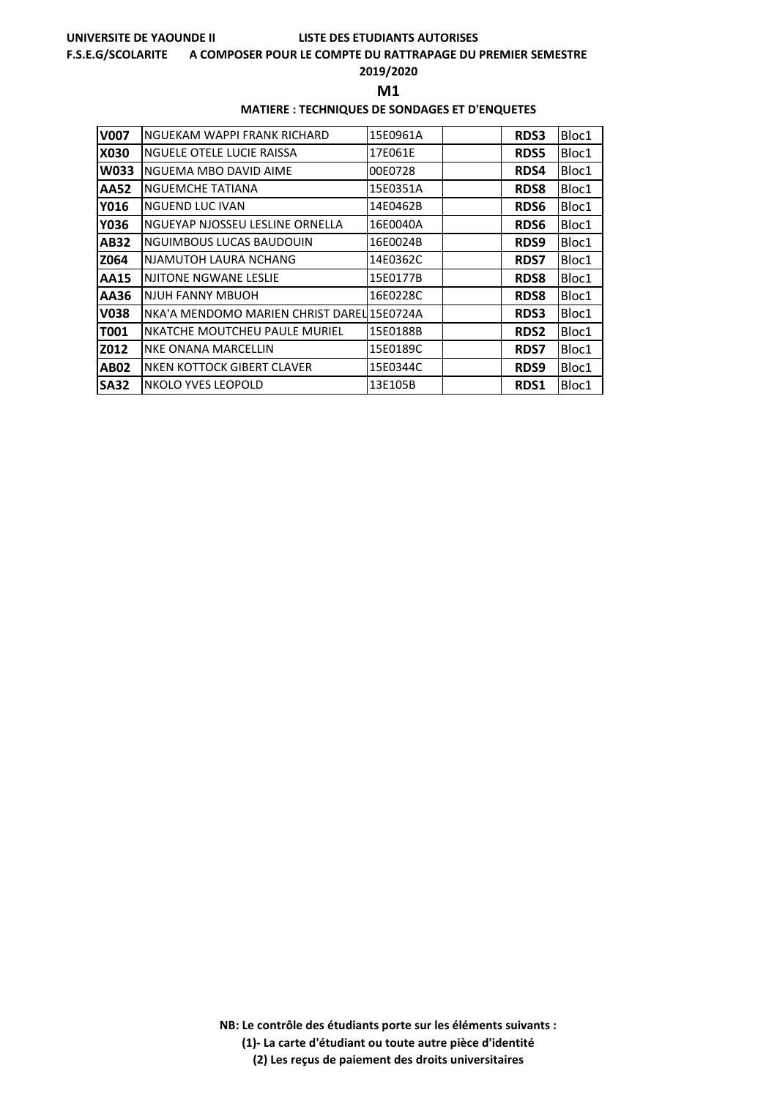#### **F.S.E.G/SCOLARITE A COMPOSER POUR LE COMPTE DU RATTRAPAGE DU PREMIER SEMESTRE**

**2019/2020**

**M1** 

### **MATIERE : TECHNIQUES DE SONDAGES ET D'ENQUETES**

| <b>V007</b> | NGUEKAM WAPPI FRANK RICHARD                | 15E0961A | <b>RDS3</b> | Bloc1 |
|-------------|--------------------------------------------|----------|-------------|-------|
| X030        | NGUELE OTELE LUCIE RAISSA                  | 17E061E  | <b>RDS5</b> | Bloc1 |
| <b>W033</b> | NGUEMA MBO DAVID AIME                      | 00E0728  | <b>RDS4</b> | Bloc1 |
| AA52        | NGUEMCHE TATIANA                           | 15E0351A | <b>RDS8</b> | Bloc1 |
| Y016        | <b>NGUEND LUC IVAN</b>                     | 14E0462B | <b>RDS6</b> | Bloc1 |
| Y036        | NGUEYAP NJOSSEU LESLINE ORNELLA            | 16E0040A | <b>RDS6</b> | Bloc1 |
| <b>AB32</b> | NGUIMBOUS LUCAS BAUDOUIN                   | 16E0024B | <b>RDS9</b> | Bloc1 |
| Z064        | NJAMUTOH LAURA NCHANG                      | 14E0362C | <b>RDS7</b> | Bloc1 |
| AA15        | <b>NJITONE NGWANE LESLIE</b>               | 15E0177B | <b>RDS8</b> | Bloc1 |
| AA36        | NJUH FANNY MBUOH                           | 16E0228C | <b>RDS8</b> | Bloc1 |
| <b>V038</b> | NKA'A MENDOMO MARIEN CHRIST DAREL 15E0724A |          | RDS3        | Bloc1 |
| T001        | NKATCHE MOUTCHEU PAULE MURIEL              | 15E0188B | <b>RDS2</b> | Bloc1 |
| Z012        | <b>NKE ONANA MARCELLIN</b>                 | 15E0189C | <b>RDS7</b> | Bloc1 |
| <b>AB02</b> | NKEN KOTTOCK GIBERT CLAVER                 | 15E0344C | RDS9        | Bloc1 |
| <b>SA32</b> | NKOLO YVES LEOPOLD                         | 13E105B  | <b>RDS1</b> | Bloc1 |

**NB: Le contrôle des étudiants porte sur les éléments suivants : (1)- La carte d'étudiant ou toute autre pièce d'identité**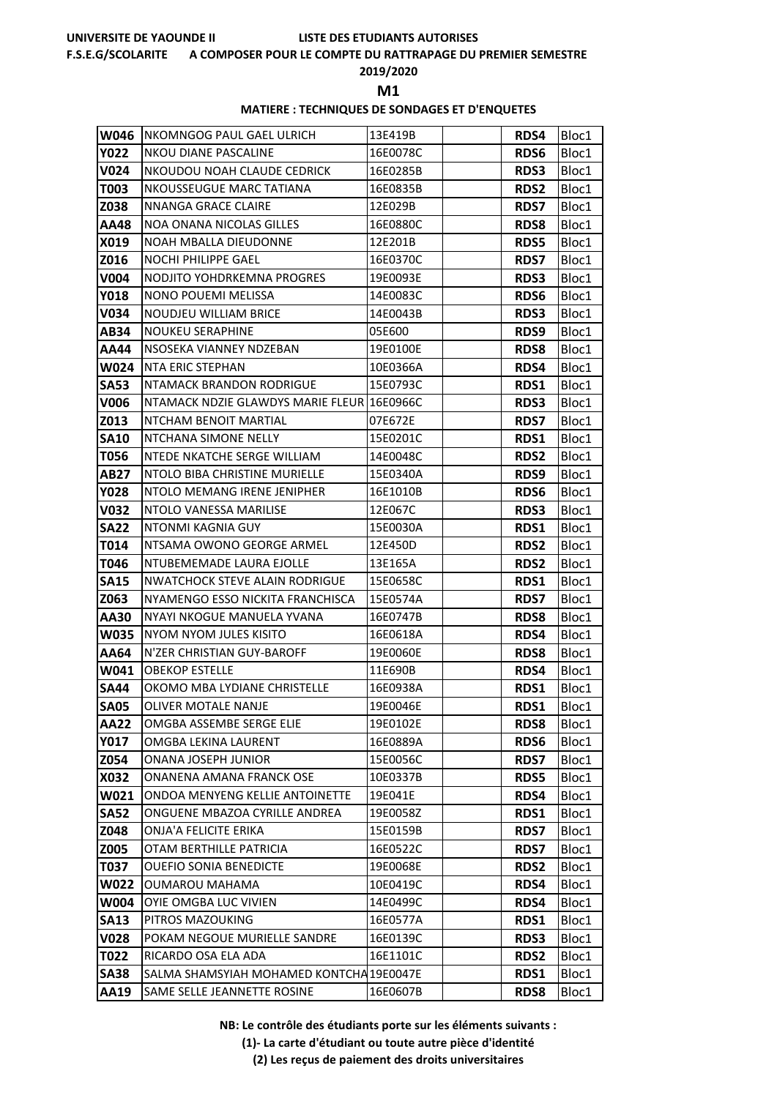#### **F.S.E.G/SCOLARITE A COMPOSER POUR LE COMPTE DU RATTRAPAGE DU PREMIER SEMESTRE**

### **2019/2020**

**M1** 

### **MATIERE : TECHNIQUES DE SONDAGES ET D'ENQUETES**

| W046                | <b>INKOMNGOG PAUL GAEL ULRICH</b>                           | 13E419B             | RDS4         | Bloc1          |
|---------------------|-------------------------------------------------------------|---------------------|--------------|----------------|
| <b>Y022</b>         | <b>NKOU DIANE PASCALINE</b>                                 | 16E0078C            | <b>RDS6</b>  | Bloc1          |
| <b>V024</b>         | NKOUDOU NOAH CLAUDE CEDRICK                                 | 16E0285B            | <b>RDS3</b>  | Bloc1          |
| <b>T003</b>         | <b>NKOUSSEUGUE MARC TATIANA</b>                             | 16E0835B            | <b>RDS2</b>  | Bloc1          |
| Z038                | <b>NNANGA GRACE CLAIRE</b>                                  | 12E029B             | <b>RDS7</b>  | Bloc1          |
| <b>AA48</b>         | <b>NOA ONANA NICOLAS GILLES</b>                             | 16E0880C            | <b>RDS8</b>  | Bloc1          |
| X019                | NOAH MBALLA DIEUDONNE                                       | 12E201B             | <b>RDS5</b>  | Bloc1          |
| Z016                | <b>NOCHI PHILIPPE GAEL</b>                                  | 16E0370C            | <b>RDS7</b>  | Bloc1          |
| V004                | NODJITO YOHDRKEMNA PROGRES                                  | 19E0093E            | <b>RDS3</b>  | Bloc1          |
| <b>Y018</b>         | NONO POUEMI MELISSA                                         | 14E0083C            | <b>RDS6</b>  | Bloc1          |
| V034                | NOUDJEU WILLIAM BRICE                                       | 14E0043B            | <b>RDS3</b>  | Bloc1          |
| <b>AB34</b>         | <b>NOUKEU SERAPHINE</b>                                     | 05E600              | RDS9         | Bloc1          |
| AA44                | NSOSEKA VIANNEY NDZEBAN                                     | 19E0100E            | <b>RDS8</b>  | Bloc1          |
| <b>W024</b>         | <b>NTA ERIC STEPHAN</b>                                     | 10E0366A            | RDS4         | Bloc1          |
| <b>SA53</b>         | <b>NTAMACK BRANDON RODRIGUE</b>                             | 15E0793C            | RDS1         | Bloc1          |
| V006                | NTAMACK NDZIE GLAWDYS MARIE FLEUR 16E0966C                  |                     | <b>RDS3</b>  | Bloc1          |
| Z013                | <b>NTCHAM BENOIT MARTIAL</b>                                | 07E672E             | <b>RDS7</b>  | Bloc1          |
| <b>SA10</b>         | NTCHANA SIMONE NELLY                                        | 15E0201C            | <b>RDS1</b>  | Bloc1          |
| T056                | NTEDE NKATCHE SERGE WILLIAM                                 | 14E0048C            | <b>RDS2</b>  | Bloc1          |
| <b>AB27</b>         | NTOLO BIBA CHRISTINE MURIELLE                               | 15E0340A            | RDS9         | Bloc1          |
| <b>Y028</b>         | NTOLO MEMANG IRENE JENIPHER                                 | 16E1010B            | <b>RDS6</b>  | Bloc1          |
| <b>V032</b>         | NTOLO VANESSA MARILISE                                      | 12E067C             | <b>RDS3</b>  | Bloc1          |
| <b>SA22</b>         | NTONMI KAGNIA GUY                                           | 15E0030A            | RDS1         | Bloc1          |
| T014                | NTSAMA OWONO GEORGE ARMEL                                   | 12E450D             | <b>RDS2</b>  | Bloc1          |
| T046                | NTUBEMEMADE LAURA EJOLLE                                    | 13E165A             | <b>RDS2</b>  | Bloc1          |
| <b>SA15</b>         | <b>NWATCHOCK STEVE ALAIN RODRIGUE</b>                       | 15E0658C            | <b>RDS1</b>  | Bloc1          |
| Z063                | NYAMENGO ESSO NICKITA FRANCHISCA                            | 15E0574A            | <b>RDS7</b>  | Bloc1          |
| <b>AA30</b>         | NYAYI NKOGUE MANUELA YVANA                                  | 16E0747B            | <b>RDS8</b>  | Bloc1          |
| <b>W035</b>         | NYOM NYOM JULES KISITO                                      | 16E0618A            | RDS4         | Bloc1          |
| AA64                | N'ZER CHRISTIAN GUY-BAROFF                                  | 19E0060E            | <b>RDS8</b>  | Bloc1          |
| W041                | <b>OBEKOP ESTELLE</b>                                       | 11E690B             | RDS4         | Bloc1          |
| <b>SA44</b>         | OKOMO MBA LYDIANE CHRISTELLE                                | 16E0938A            | RDS1         | Bloc1          |
| <b>SA05</b>         | OLIVER MOTALE NANJE                                         | 19E0046E            | RDS1         | Bloc1          |
| <b>AA22</b>         | OMGBA ASSEMBE SERGE ELIE                                    | 19E0102E            | <b>RDS8</b>  | Bloc1          |
| <b>Y017</b>         | OMGBA LEKINA LAURENT                                        | 16E0889A            | RDS6         | Bloc1          |
| Z054                | ONANA JOSEPH JUNIOR                                         | 15E0056C            | <b>RDS7</b>  | Bloc1          |
| <b>X032</b><br>W021 | ONANENA AMANA FRANCK OSE<br>ONDOA MENYENG KELLIE ANTOINETTE | 10E0337B<br>19E041E | <b>RDS5</b>  | Bloc1          |
| <b>SA52</b>         | ONGUENE MBAZOA CYRILLE ANDREA                               | 19E0058Z            | RDS4<br>RDS1 | Bloc1<br>Bloc1 |
| Z048                | ONJA'A FELICITE ERIKA                                       | 15E0159B            | <b>RDS7</b>  | Bloc1          |
| Z005                | OTAM BERTHILLE PATRICIA                                     | 16E0522C            | <b>RDS7</b>  | Bloc1          |
| <b>T037</b>         | <b>OUEFIO SONIA BENEDICTE</b>                               | 19E0068E            | <b>RDS2</b>  | Bloc1          |
| <b>W022</b>         | <b>OUMAROU MAHAMA</b>                                       | 10E0419C            | RDS4         | Bloc1          |
| W004                | OYIE OMGBA LUC VIVIEN                                       | 14E0499C            | RDS4         | Bloc1          |
| <b>SA13</b>         | PITROS MAZOUKING                                            | 16E0577A            | RDS1         | Bloc1          |
| <b>V028</b>         | POKAM NEGOUE MURIELLE SANDRE                                | 16E0139C            | <b>RDS3</b>  | Bloc1          |
| T022                | RICARDO OSA ELA ADA                                         | 16E1101C            | <b>RDS2</b>  | Bloc1          |
| <b>SA38</b>         | SALMA SHAMSYIAH MOHAMED KONTCHA 19E0047E                    |                     | RDS1         | Bloc1          |
| AA19                | SAME SELLE JEANNETTE ROSINE                                 | 16E0607B            | <b>RDS8</b>  | Bloc1          |
|                     |                                                             |                     |              |                |

**NB: Le contrôle des étudiants porte sur les éléments suivants :**

**(1)- La carte d'étudiant ou toute autre pièce d'identité**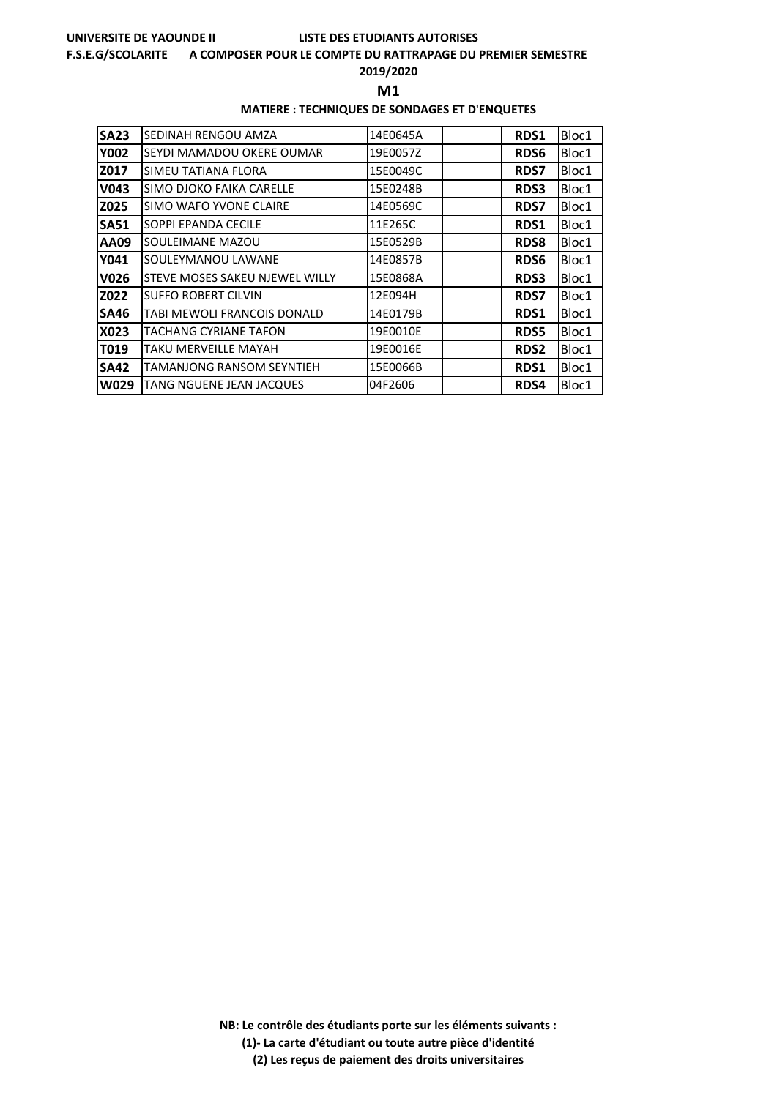#### **F.S.E.G/SCOLARITE A COMPOSER POUR LE COMPTE DU RATTRAPAGE DU PREMIER SEMESTRE**

### **2019/2020**

**M1** 

### **MATIERE : TECHNIQUES DE SONDAGES ET D'ENQUETES**

| <b>SA23</b> | SEDINAH RENGOU AMZA                   | 14E0645A | RDS1        | Bloc1 |
|-------------|---------------------------------------|----------|-------------|-------|
| <b>Y002</b> | SEYDI MAMADOU OKERE OUMAR             | 19E0057Z | <b>RDS6</b> | Bloc1 |
| Z017        | SIMEU TATIANA FLORA                   | 15E0049C | <b>RDS7</b> | Bloc1 |
| <b>V043</b> | SIMO DJOKO FAIKA CARELLE              | 15E0248B | <b>RDS3</b> | Bloc1 |
| Z025        | SIMO WAFO YVONE CLAIRE                | 14E0569C | <b>RDS7</b> | Bloc1 |
| <b>SA51</b> | SOPPI EPANDA CECILE                   | 11E265C  | RDS1        | Bloc1 |
| AA09        | SOULEIMANE MAZOU                      | 15E0529B | <b>RDS8</b> | Bloc1 |
| Y041        | SOULEYMANOU LAWANE                    | 14E0857B | <b>RDS6</b> | Bloc1 |
| V026        | <b>STEVE MOSES SAKEU NJEWEL WILLY</b> | 15E0868A | <b>RDS3</b> | Bloc1 |
| Z022        | <b>SUFFO ROBERT CILVIN</b>            | 12E094H  | <b>RDS7</b> | Bloc1 |
| <b>SA46</b> | TABI MEWOLI FRANCOIS DONALD           | 14E0179B | RDS1        | Bloc1 |
| X023        | TACHANG CYRIANE TAFON                 | 19E0010E | <b>RDS5</b> | Bloc1 |
| T019        | TAKU MERVEILLE MAYAH                  | 19E0016E | <b>RDS2</b> | Bloc1 |
| <b>SA42</b> | TAMANJONG RANSOM SEYNTIEH             | 15E0066B | <b>RDS1</b> | Bloc1 |
| <b>W029</b> | TANG NGUENE JEAN JACQUES              | 04F2606  | RDS4        | Bloc1 |

**NB: Le contrôle des étudiants porte sur les éléments suivants : (1)- La carte d'étudiant ou toute autre pièce d'identité**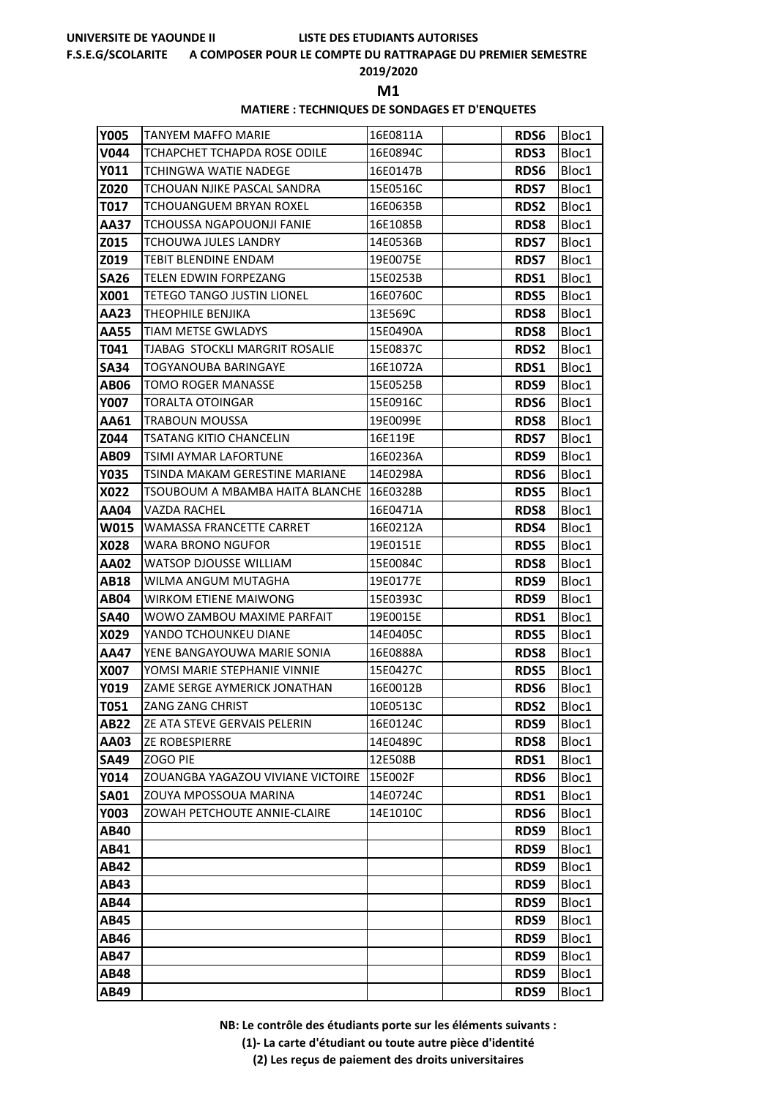#### **F.S.E.G/SCOLARITE A COMPOSER POUR LE COMPTE DU RATTRAPAGE DU PREMIER SEMESTRE**

### **2019/2020**

**M1** 

#### **MATIERE : TECHNIQUES DE SONDAGES ET D'ENQUETES**

| <b>Y005</b> | TANYEM MAFFO MARIE                | 16E0811A | RDS6        | Bloc1 |
|-------------|-----------------------------------|----------|-------------|-------|
| <b>V044</b> | TCHAPCHET TCHAPDA ROSE ODILE      | 16E0894C | <b>RDS3</b> | Bloc1 |
| Y011        | <b>TCHINGWA WATIE NADEGE</b>      | 16E0147B | <b>RDS6</b> | Bloc1 |
| Z020        | TCHOUAN NJIKE PASCAL SANDRA       | 15E0516C | <b>RDS7</b> | Bloc1 |
| T017        | TCHOUANGUEM BRYAN ROXEL           | 16E0635B | <b>RDS2</b> | Bloc1 |
| AA37        | TCHOUSSA NGAPOUONJI FANIE         | 16E1085B | <b>RDS8</b> | Bloc1 |
| Z015        | TCHOUWA JULES LANDRY              | 14E0536B | <b>RDS7</b> | Bloc1 |
| Z019        | TEBIT BLENDINE ENDAM              | 19E0075E | <b>RDS7</b> | Bloc1 |
| <b>SA26</b> | TELEN EDWIN FORPEZANG             | 15E0253B | RDS1        | Bloc1 |
| X001        | TETEGO TANGO JUSTIN LIONEL        | 16E0760C | <b>RDS5</b> | Bloc1 |
| AA23        | THEOPHILE BENJIKA                 | 13E569C  | <b>RDS8</b> | Bloc1 |
| AA55        | TIAM METSE GWLADYS                | 15E0490A | <b>RDS8</b> | Bloc1 |
| T041        | TJABAG STOCKLI MARGRIT ROSALIE    | 15E0837C | RDS2        | Bloc1 |
| <b>SA34</b> | TOGYANOUBA BARINGAYE              | 16E1072A | RDS1        | Bloc1 |
| <b>AB06</b> | TOMO ROGER MANASSE                | 15E0525B | RDS9        | Bloc1 |
| <b>Y007</b> | <b>TORALTA OTOINGAR</b>           | 15E0916C | <b>RDS6</b> | Bloc1 |
| AA61        | <b>TRABOUN MOUSSA</b>             | 19E0099E | <b>RDS8</b> | Bloc1 |
| Z044        | <b>TSATANG KITIO CHANCELIN</b>    | 16E119E  | <b>RDS7</b> | Bloc1 |
| AB09        | TSIMI AYMAR LAFORTUNE             | 16E0236A | RDS9        | Bloc1 |
| <b>Y035</b> | TSINDA MAKAM GERESTINE MARIANE    | 14E0298A | <b>RDS6</b> | Bloc1 |
| <b>X022</b> | TSOUBOUM A MBAMBA HAITA BLANCHE   | 16E0328B | <b>RDS5</b> | Bloc1 |
| AA04        | VAZDA RACHEL                      | 16E0471A | <b>RDS8</b> | Bloc1 |
| W015        | <b>WAMASSA FRANCETTE CARRET</b>   | 16E0212A | RDS4        | Bloc1 |
| X028        | WARA BRONO NGUFOR                 | 19E0151E | <b>RDS5</b> | Bloc1 |
| AA02        | WATSOP DJOUSSE WILLIAM            | 15E0084C | <b>RDS8</b> | Bloc1 |
| AB18        | WILMA ANGUM MUTAGHA               | 19E0177E | RDS9        | Bloc1 |
| AB04        | <b>WIRKOM ETIENE MAIWONG</b>      | 15E0393C | RDS9        | Bloc1 |
| <b>SA40</b> | WOWO ZAMBOU MAXIME PARFAIT        | 19E0015E | RDS1        | Bloc1 |
| X029        | YANDO TCHOUNKEU DIANE             | 14E0405C | <b>RDS5</b> | Bloc1 |
| AA47        | YENE BANGAYOUWA MARIE SONIA       | 16E0888A | <b>RDS8</b> | Bloc1 |
| X007        | YOMSI MARIE STEPHANIE VINNIE      | 15E0427C | <b>RDS5</b> | Bloc1 |
| Y019        | ZAME SERGE AYMERICK JONATHAN      | 16E0012B | <b>RDS6</b> | Bloc1 |
| T051        | ZANG ZANG CHRIST                  | 10E0513C | RDS2        | Bloc1 |
| AB22        | ZE ATA STEVE GERVAIS PELERIN      | 16E0124C | RDS9        | Bloc1 |
| AA03        | <b>ZE ROBESPIERRE</b>             | 14E0489C | <b>RDS8</b> | Bloc1 |
| <b>SA49</b> | ZOGO PIE                          | 12E508B  | RDS1        | Bloc1 |
| Y014        | ZOUANGBA YAGAZOU VIVIANE VICTOIRE | 15E002F  | RDS6        | Bloc1 |
| <b>SA01</b> | ZOUYA MPOSSOUA MARINA             | 14E0724C | RDS1        | Bloc1 |
| Y003        | ZOWAH PETCHOUTE ANNIE-CLAIRE      | 14E1010C | <b>RDS6</b> | Bloc1 |
| AB40        |                                   |          | <b>RDS9</b> | Bloc1 |
| AB41        |                                   |          | RDS9        | Bloc1 |
| AB42        |                                   |          | RDS9        | Bloc1 |
| AB43        |                                   |          | RDS9        | Bloc1 |
| AB44        |                                   |          | RDS9        | Bloc1 |
| AB45        |                                   |          | RDS9        | Bloc1 |
| AB46        |                                   |          | RDS9        | Bloc1 |
| AB47        |                                   |          | RDS9        | Bloc1 |
| AB48        |                                   |          | RDS9        | Bloc1 |
| AB49        |                                   |          | RDS9        | Bloc1 |

**NB: Le contrôle des étudiants porte sur les éléments suivants :**

**(1)- La carte d'étudiant ou toute autre pièce d'identité**